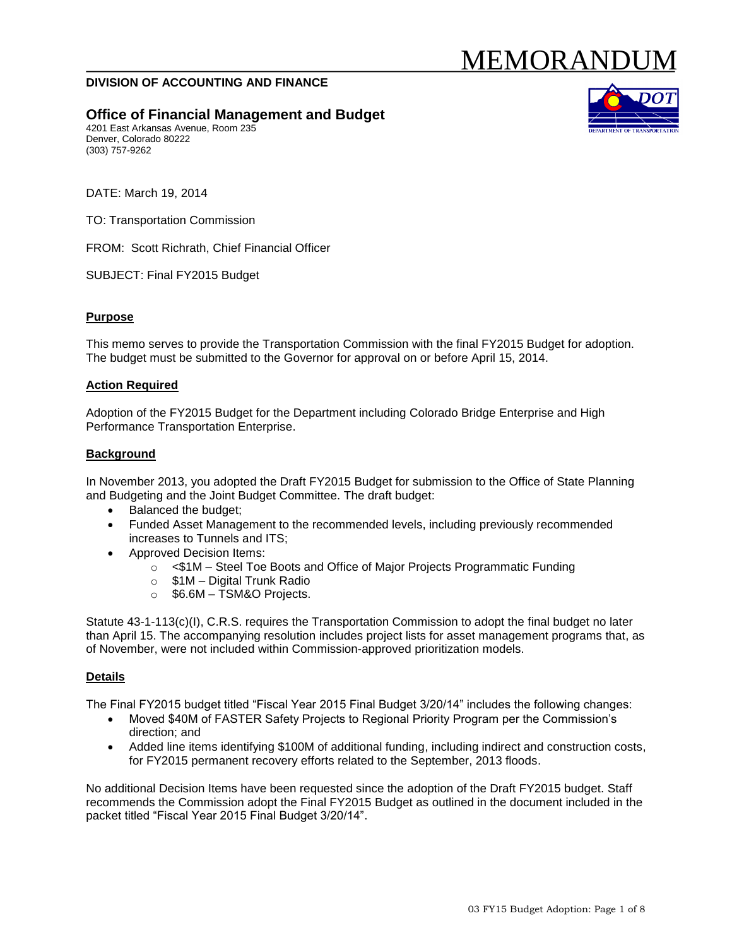# MEMORANDUI

#### **DIVISION OF ACCOUNTING AND FINANCE**

## **Office of Financial Management and Budget**

4201 East Arkansas Avenue, Room 235 Denver, Colorado 80222 (303) 757-9262



DATE: March 19, 2014

TO: Transportation Commission

FROM: Scott Richrath, Chief Financial Officer

SUBJECT: Final FY2015 Budget

#### **Purpose**

This memo serves to provide the Transportation Commission with the final FY2015 Budget for adoption. The budget must be submitted to the Governor for approval on or before April 15, 2014.

#### **Action Required**

Adoption of the FY2015 Budget for the Department including Colorado Bridge Enterprise and High Performance Transportation Enterprise.

#### **Background**

In November 2013, you adopted the Draft FY2015 Budget for submission to the Office of State Planning and Budgeting and the Joint Budget Committee. The draft budget:

- Balanced the budget;
- Funded Asset Management to the recommended levels, including previously recommended increases to Tunnels and ITS;
- Approved Decision Items:
	- o <\$1M Steel Toe Boots and Office of Major Projects Programmatic Funding
	- o \$1M Digital Trunk Radio
	- o \$6.6M TSM&O Projects.

Statute 43-1-113(c)(I), C.R.S. requires the Transportation Commission to adopt the final budget no later than April 15. The accompanying resolution includes project lists for asset management programs that, as of November, were not included within Commission-approved prioritization models.

#### **Details**

The Final FY2015 budget titled "Fiscal Year 2015 Final Budget 3/20/14" includes the following changes:

- Moved \$40M of FASTER Safety Projects to Regional Priority Program per the Commission's direction; and
- Added line items identifying \$100M of additional funding, including indirect and construction costs, for FY2015 permanent recovery efforts related to the September, 2013 floods.

No additional Decision Items have been requested since the adoption of the Draft FY2015 budget. Staff recommends the Commission adopt the Final FY2015 Budget as outlined in the document included in the packet titled "Fiscal Year 2015 Final Budget 3/20/14".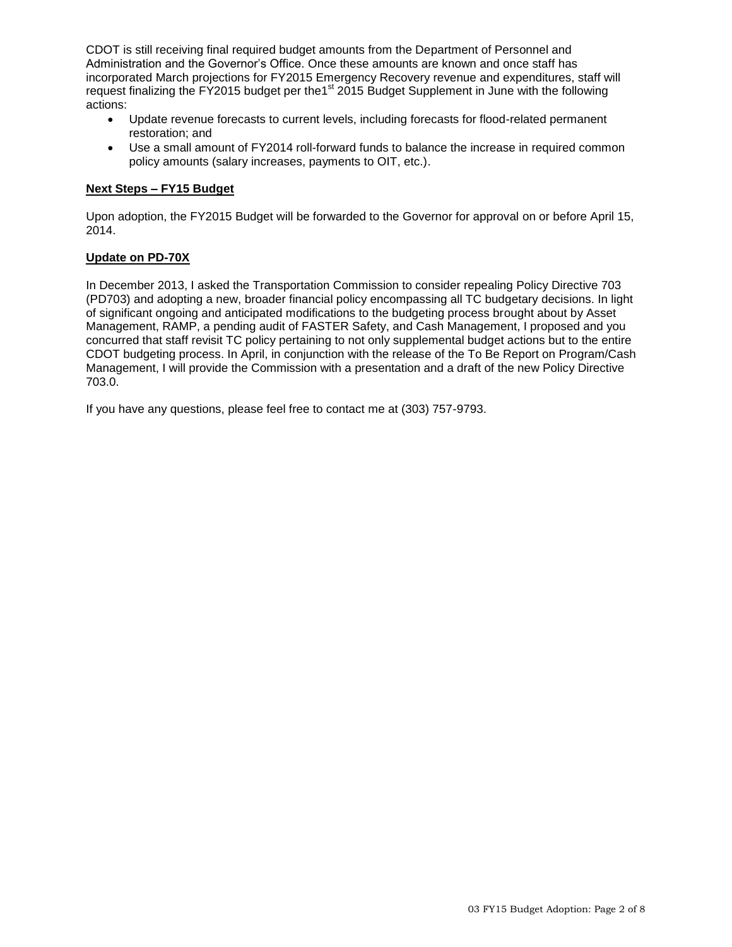CDOT is still receiving final required budget amounts from the Department of Personnel and Administration and the Governor's Office. Once these amounts are known and once staff has incorporated March projections for FY2015 Emergency Recovery revenue and expenditures, staff will request finalizing the FY2015 budget per the<sup>1st</sup> 2015 Budget Supplement in June with the following actions:

- Update revenue forecasts to current levels, including forecasts for flood-related permanent restoration; and
- Use a small amount of FY2014 roll-forward funds to balance the increase in required common policy amounts (salary increases, payments to OIT, etc.).

### **Next Steps – FY15 Budget**

Upon adoption, the FY2015 Budget will be forwarded to the Governor for approval on or before April 15, 2014.

#### **Update on PD-70X**

In December 2013, I asked the Transportation Commission to consider repealing Policy Directive 703 (PD703) and adopting a new, broader financial policy encompassing all TC budgetary decisions. In light of significant ongoing and anticipated modifications to the budgeting process brought about by Asset Management, RAMP, a pending audit of FASTER Safety, and Cash Management, I proposed and you concurred that staff revisit TC policy pertaining to not only supplemental budget actions but to the entire CDOT budgeting process. In April, in conjunction with the release of the To Be Report on Program/Cash Management, I will provide the Commission with a presentation and a draft of the new Policy Directive 703.0.

If you have any questions, please feel free to contact me at (303) 757-9793.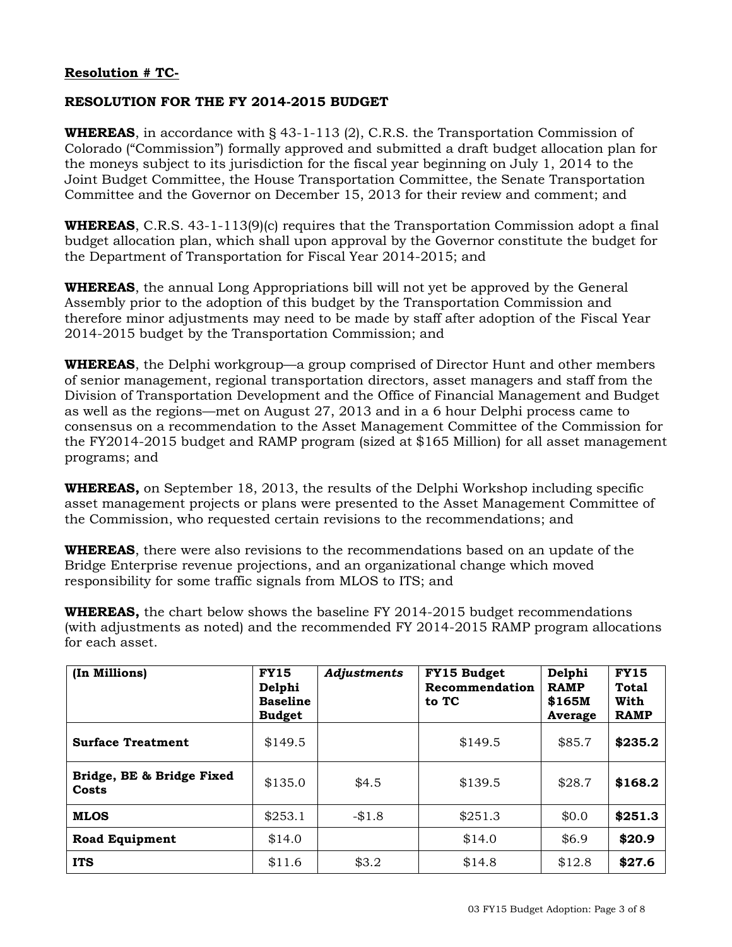# **Resolution # TC-**

# **RESOLUTION FOR THE FY 2014-2015 BUDGET**

**WHEREAS**, in accordance with § 43-1-113 (2), C.R.S. the Transportation Commission of Colorado ("Commission") formally approved and submitted a draft budget allocation plan for the moneys subject to its jurisdiction for the fiscal year beginning on July 1, 2014 to the Joint Budget Committee, the House Transportation Committee, the Senate Transportation Committee and the Governor on December 15, 2013 for their review and comment; and

**WHEREAS**, C.R.S. 43-1-113(9)(c) requires that the Transportation Commission adopt a final budget allocation plan, which shall upon approval by the Governor constitute the budget for the Department of Transportation for Fiscal Year 2014-2015; and

**WHEREAS**, the annual Long Appropriations bill will not yet be approved by the General Assembly prior to the adoption of this budget by the Transportation Commission and therefore minor adjustments may need to be made by staff after adoption of the Fiscal Year 2014-2015 budget by the Transportation Commission; and

**WHEREAS**, the Delphi workgroup—a group comprised of Director Hunt and other members of senior management, regional transportation directors, asset managers and staff from the Division of Transportation Development and the Office of Financial Management and Budget as well as the regions—met on August 27, 2013 and in a 6 hour Delphi process came to consensus on a recommendation to the Asset Management Committee of the Commission for the FY2014-2015 budget and RAMP program (sized at \$165 Million) for all asset management programs; and

**WHEREAS,** on September 18, 2013, the results of the Delphi Workshop including specific asset management projects or plans were presented to the Asset Management Committee of the Commission, who requested certain revisions to the recommendations; and

**WHEREAS**, there were also revisions to the recommendations based on an update of the Bridge Enterprise revenue projections, and an organizational change which moved responsibility for some traffic signals from MLOS to ITS; and

**WHEREAS,** the chart below shows the baseline FY 2014-2015 budget recommendations (with adjustments as noted) and the recommended FY 2014-2015 RAMP program allocations for each asset.

| (In Millions)                      | <b>FY15</b><br>Delphi<br><b>Baseline</b><br><b>Budget</b> | Adjustments | FY15 Budget<br>Recommendation<br>to TC | Delphi<br><b>RAMP</b><br>\$165M<br>Average | <b>FY15</b><br><b>Total</b><br>With<br><b>RAMP</b> |
|------------------------------------|-----------------------------------------------------------|-------------|----------------------------------------|--------------------------------------------|----------------------------------------------------|
| <b>Surface Treatment</b>           | \$149.5                                                   |             | \$149.5                                | \$85.7                                     | \$235.2                                            |
| Bridge, BE & Bridge Fixed<br>Costs | \$135.0                                                   | \$4.5       | \$139.5                                | \$28.7                                     | \$168.2                                            |
| <b>MLOS</b>                        | \$253.1                                                   | $-$1.8$     | \$251.3                                | \$0.0                                      | \$251.3                                            |
| <b>Road Equipment</b>              | \$14.0                                                    |             | \$14.0                                 | \$6.9                                      | \$20.9                                             |
| <b>ITS</b>                         | \$11.6                                                    | \$3.2       | \$14.8                                 | \$12.8                                     | \$27.6                                             |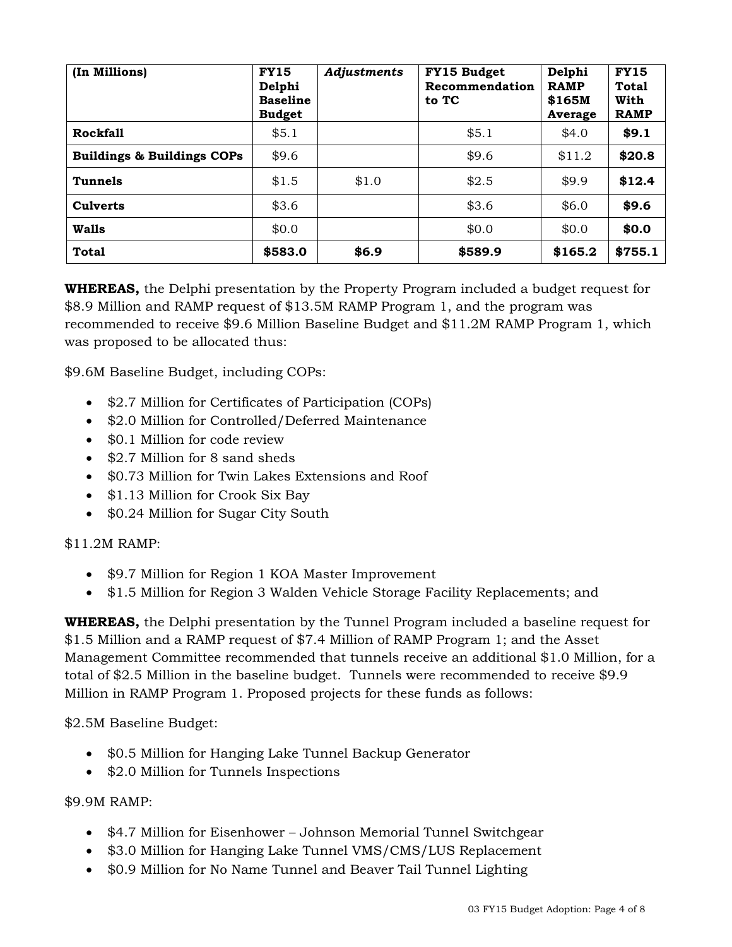| (In Millions)                         | <b>FY15</b><br>Delphi<br><b>Baseline</b><br><b>Budget</b> | Adjustments | FY15 Budget<br>Recommendation<br>to TC | Delphi<br><b>RAMP</b><br>\$165M<br>Average | <b>FY15</b><br><b>Total</b><br>With<br><b>RAMP</b> |
|---------------------------------------|-----------------------------------------------------------|-------------|----------------------------------------|--------------------------------------------|----------------------------------------------------|
| <b>Rockfall</b>                       | \$5.1                                                     |             | \$5.1                                  | \$4.0                                      | \$9.1                                              |
| <b>Buildings &amp; Buildings COPs</b> | \$9.6                                                     |             | \$9.6                                  | \$11.2                                     | \$20.8                                             |
| Tunnels                               | \$1.5                                                     | \$1.0       | \$2.5                                  | \$9.9                                      | \$12.4                                             |
| <b>Culverts</b>                       | \$3.6                                                     |             | \$3.6                                  | \$6.0                                      | \$9.6                                              |
| Walls                                 | \$0.0                                                     |             | \$0.0                                  | \$0.0                                      | \$0.0\$                                            |
| <b>Total</b>                          | \$583.0                                                   | \$6.9       | \$589.9                                | \$165.2                                    | \$755.1                                            |

**WHEREAS,** the Delphi presentation by the Property Program included a budget request for \$8.9 Million and RAMP request of \$13.5M RAMP Program 1, and the program was recommended to receive \$9.6 Million Baseline Budget and \$11.2M RAMP Program 1, which was proposed to be allocated thus:

\$9.6M Baseline Budget, including COPs:

- \$2.7 Million for Certificates of Participation (COPs)
- \$2.0 Million for Controlled/Deferred Maintenance
- \$0.1 Million for code review
- \$2.7 Million for 8 sand sheds
- \$0.73 Million for Twin Lakes Extensions and Roof
- \$1.13 Million for Crook Six Bay
- \$0.24 Million for Sugar City South

# \$11.2M RAMP:

- \$9.7 Million for Region 1 KOA Master Improvement
- \$1.5 Million for Region 3 Walden Vehicle Storage Facility Replacements; and

**WHEREAS,** the Delphi presentation by the Tunnel Program included a baseline request for \$1.5 Million and a RAMP request of \$7.4 Million of RAMP Program 1; and the Asset Management Committee recommended that tunnels receive an additional \$1.0 Million, for a total of \$2.5 Million in the baseline budget. Tunnels were recommended to receive \$9.9 Million in RAMP Program 1. Proposed projects for these funds as follows:

\$2.5M Baseline Budget:

- \$0.5 Million for Hanging Lake Tunnel Backup Generator
- \$2.0 Million for Tunnels Inspections

## \$9.9M RAMP:

- \$4.7 Million for Eisenhower Johnson Memorial Tunnel Switchgear
- \$3.0 Million for Hanging Lake Tunnel VMS/CMS/LUS Replacement
- \$0.9 Million for No Name Tunnel and Beaver Tail Tunnel Lighting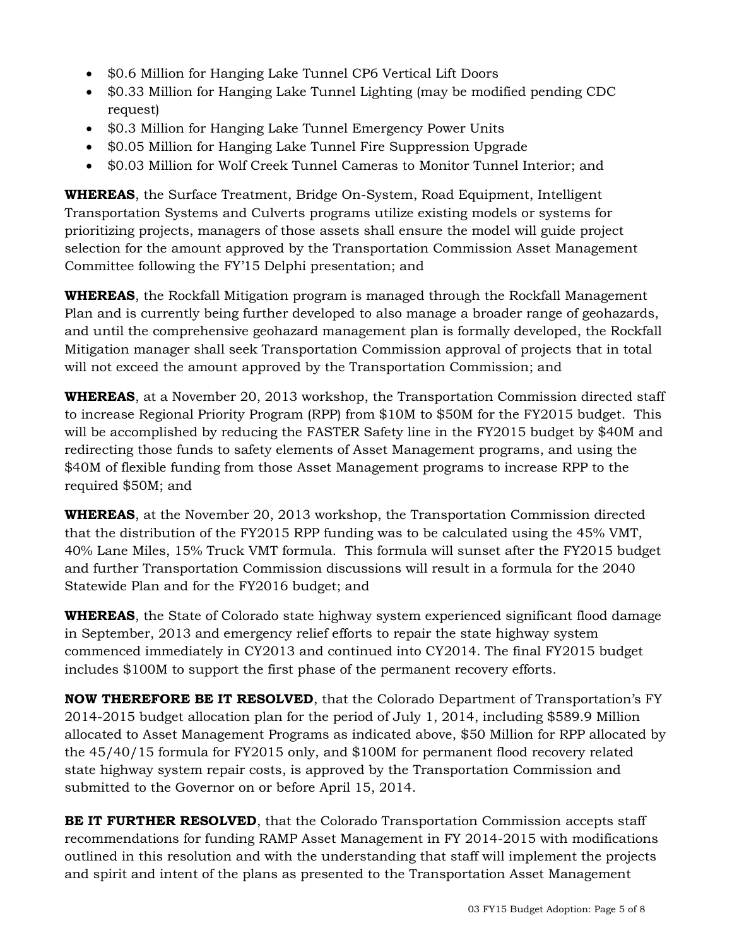- \$0.6 Million for Hanging Lake Tunnel CP6 Vertical Lift Doors
- \$0.33 Million for Hanging Lake Tunnel Lighting (may be modified pending CDC request)
- \$0.3 Million for Hanging Lake Tunnel Emergency Power Units
- \$0.05 Million for Hanging Lake Tunnel Fire Suppression Upgrade
- \$0.03 Million for Wolf Creek Tunnel Cameras to Monitor Tunnel Interior; and

**WHEREAS**, the Surface Treatment, Bridge On-System, Road Equipment, Intelligent Transportation Systems and Culverts programs utilize existing models or systems for prioritizing projects, managers of those assets shall ensure the model will guide project selection for the amount approved by the Transportation Commission Asset Management Committee following the FY'15 Delphi presentation; and

**WHEREAS**, the Rockfall Mitigation program is managed through the Rockfall Management Plan and is currently being further developed to also manage a broader range of geohazards, and until the comprehensive geohazard management plan is formally developed, the Rockfall Mitigation manager shall seek Transportation Commission approval of projects that in total will not exceed the amount approved by the Transportation Commission; and

**WHEREAS**, at a November 20, 2013 workshop, the Transportation Commission directed staff to increase Regional Priority Program (RPP) from \$10M to \$50M for the FY2015 budget. This will be accomplished by reducing the FASTER Safety line in the FY2015 budget by \$40M and redirecting those funds to safety elements of Asset Management programs, and using the \$40M of flexible funding from those Asset Management programs to increase RPP to the required \$50M; and

**WHEREAS**, at the November 20, 2013 workshop, the Transportation Commission directed that the distribution of the FY2015 RPP funding was to be calculated using the 45% VMT, 40% Lane Miles, 15% Truck VMT formula. This formula will sunset after the FY2015 budget and further Transportation Commission discussions will result in a formula for the 2040 Statewide Plan and for the FY2016 budget; and

**WHEREAS**, the State of Colorado state highway system experienced significant flood damage in September, 2013 and emergency relief efforts to repair the state highway system commenced immediately in CY2013 and continued into CY2014. The final FY2015 budget includes \$100M to support the first phase of the permanent recovery efforts.

**NOW THEREFORE BE IT RESOLVED**, that the Colorado Department of Transportation's FY 2014-2015 budget allocation plan for the period of July 1, 2014, including \$589.9 Million allocated to Asset Management Programs as indicated above, \$50 Million for RPP allocated by the 45/40/15 formula for FY2015 only, and \$100M for permanent flood recovery related state highway system repair costs, is approved by the Transportation Commission and submitted to the Governor on or before April 15, 2014.

**BE IT FURTHER RESOLVED**, that the Colorado Transportation Commission accepts staff recommendations for funding RAMP Asset Management in FY 2014-2015 with modifications outlined in this resolution and with the understanding that staff will implement the projects and spirit and intent of the plans as presented to the Transportation Asset Management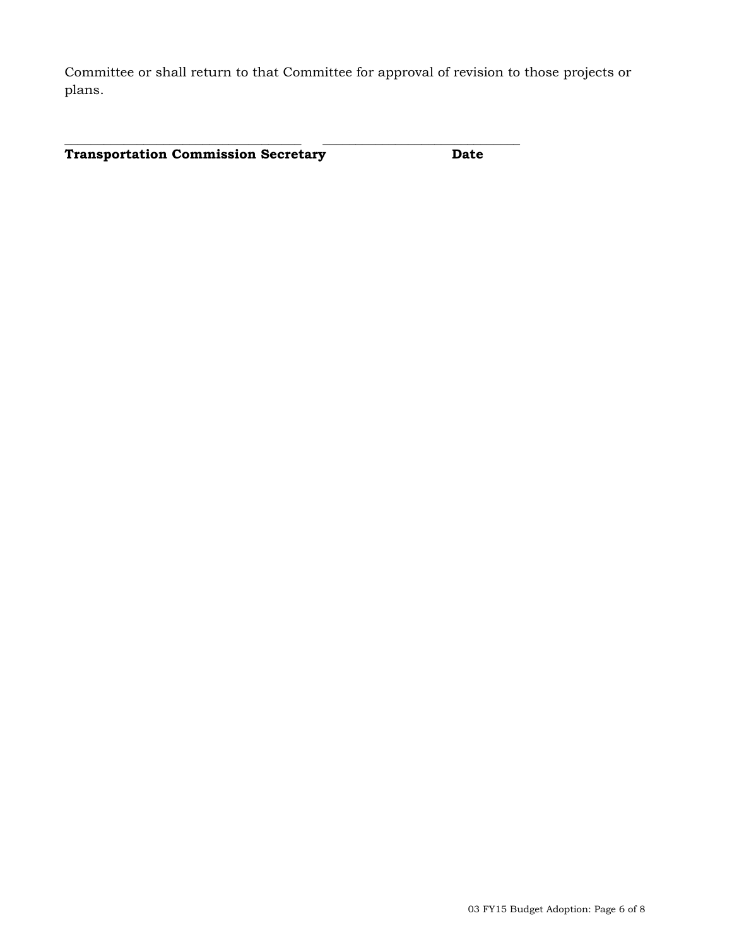Committee or shall return to that Committee for approval of revision to those projects or plans.

**\_\_\_\_\_\_\_\_\_\_\_\_\_\_\_\_\_\_\_\_\_\_\_\_\_\_\_\_\_\_\_\_\_\_\_\_ \_\_\_\_\_\_\_\_\_\_\_\_\_\_\_\_\_\_\_\_\_\_\_\_\_\_\_\_\_\_** 

**Transportation Commission Secretary Date**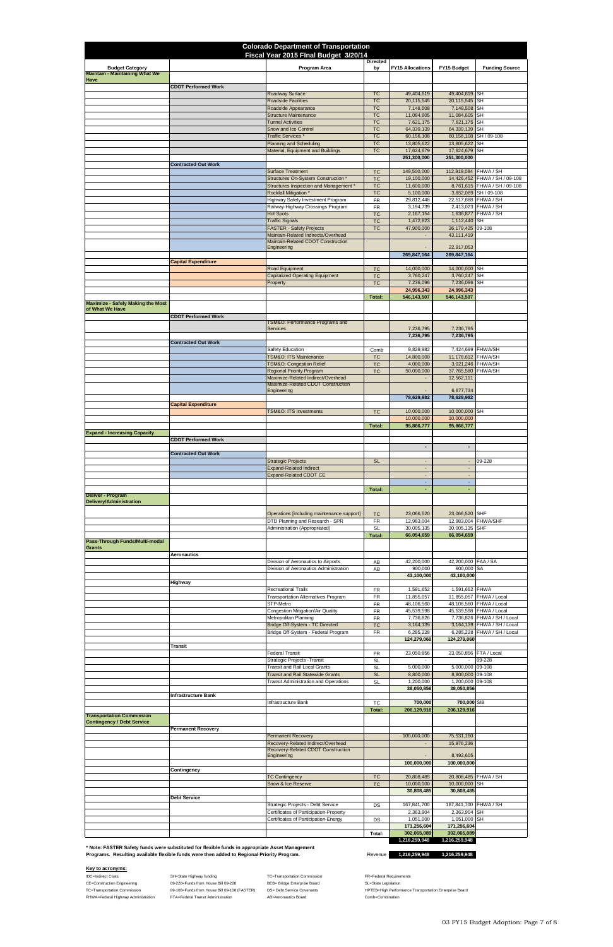IDC=Indirect Costs **SH=State Highway funding** TC=Transportation Commission FR=Federal Requirements CE=Construction Engineering **68-228**=Funds from House Bill 09-228 BEB= Bridge Enterprise Board SL=State Legislation FHWA=Federal Highway Administration FTA=Federal Transit Administration AB=Aeronautics Board Comb=Combination

TC=Transportation Commission **DIG-TO-108** 09-108=Funds from House Bill 09-108 (FASTER) DS= Debt Service Covenants HPTEB=High Performance Transportation Enterprise Board

| <b>Colorado Department of Transportation</b><br>Fiscal Year 2015 Flnal Budget 3/20/14 |                            |                                                                                |                        |                                                      |                                            |                                                               |  |
|---------------------------------------------------------------------------------------|----------------------------|--------------------------------------------------------------------------------|------------------------|------------------------------------------------------|--------------------------------------------|---------------------------------------------------------------|--|
| <b>Budget Category</b>                                                                |                            | Program Area                                                                   | <b>Directed</b><br>by  | <b>FY15 Allocations</b>                              | FY15 Budget                                | <b>Funding Source</b>                                         |  |
| <b>Maintain - Maintaining What We</b><br>Have                                         | <b>CDOT Performed Work</b> |                                                                                |                        |                                                      |                                            |                                                               |  |
|                                                                                       |                            | Roadway Surface                                                                | <b>TC</b>              | 49,404,619                                           | 49,404,619 SH                              |                                                               |  |
|                                                                                       |                            | <b>Roadside Facilities</b><br>Roadside Appearance                              | <b>TC</b><br><b>TC</b> | 20,115,545<br>7,148,508                              | 20,115,545 SH<br>7,148,508 SH              |                                                               |  |
|                                                                                       |                            | <b>Structure Maintenance</b><br><b>Tunnel Activities</b>                       | <b>TC</b><br><b>TC</b> | 11,084,605<br>7,621,175                              | 11,084,605 SH<br>7,621,175 SH              |                                                               |  |
|                                                                                       |                            | Snow and Ice Control<br>Traffic Services <sup>*</sup>                          | <b>TC</b><br><b>TC</b> | 64,339,139<br>60,156,108                             | 64,339,139 SH                              | 60,156,108 SH / 09-108                                        |  |
|                                                                                       |                            | <b>Planning and Scheduling</b>                                                 | <b>TC</b>              | 13,805,622                                           | 13,805,622 SH                              |                                                               |  |
|                                                                                       |                            | Material, Equipment and Buildings                                              | <b>TC</b>              | 17,624,679<br>251,300,000                            | 17,624,679 SH<br>251,300,000               |                                                               |  |
|                                                                                       | <b>Contracted Out Work</b> | <b>Surface Treatment</b>                                                       | <b>TC</b>              | 149,500,000                                          | 112,919,084 FHWA / SH                      |                                                               |  |
|                                                                                       |                            | Structures On-System Construction *<br>Structures Inspection and Management *  | <b>TC</b><br><b>TC</b> | 19,100,000<br>11,600,000                             |                                            | 14,426,452 FHWA / SH / 09-108<br>8,761,615 FHWA / SH / 09-108 |  |
|                                                                                       |                            | <b>Rockfall Mitigation *</b><br><b>Highway Safety Investment Program</b>       | <b>TC</b><br><b>FR</b> | 5,100,000<br>29,812,448                              |                                            | 3,852,089 SH / 09-108<br>22,517,688 FHWA / SH                 |  |
|                                                                                       |                            | Railway-Highway Crossings Program<br><b>Hot Spots</b>                          | <b>FR</b><br><b>TC</b> | 3,194,739<br>2,167,154                               |                                            | 2,413,023 FHWA / SH<br>1,636,877 FHWA / SH                    |  |
|                                                                                       |                            | <b>Traffic Signals</b>                                                         | <b>TC</b>              | 1,472,823                                            | 1,112,440 SH                               |                                                               |  |
|                                                                                       |                            | <b>FASTER - Safety Projects</b><br>Maintain-Related Indirects/Overhead         | <b>TC</b>              | 47,900,000                                           | 36,179,425 09-108<br>43,111,419            |                                                               |  |
|                                                                                       |                            | Maintain-Related CDOT Construction<br>Engineering                              |                        |                                                      | 22,917,053                                 |                                                               |  |
|                                                                                       | <b>Capital Expenditure</b> |                                                                                |                        | 269,847,164                                          | 269,847,164                                |                                                               |  |
|                                                                                       |                            | Road Equipment<br><b>Capitalized Operating Equipment</b>                       | <b>TC</b><br><b>TC</b> | 14,000,000<br>3,760,247                              | 14,000,000 SH<br>3,760,247 SH              |                                                               |  |
|                                                                                       |                            | Property                                                                       | <b>TC</b>              | 7,236,096                                            | 7,236,096 SH                               |                                                               |  |
|                                                                                       |                            |                                                                                | Total:                 | 24,996,343<br>546, 143, 507                          | 24,996,343<br>546,143,507                  |                                                               |  |
| <b>Maximize - Safely Making the Most</b><br>of What We Have                           |                            |                                                                                |                        |                                                      |                                            |                                                               |  |
|                                                                                       | <b>CDOT Performed Work</b> | TSM&O: Performance Programs and                                                |                        |                                                      |                                            |                                                               |  |
|                                                                                       |                            | <b>Services</b>                                                                |                        | 7,236,795<br>7,236,795                               | 7,236,795<br>7,236,795                     |                                                               |  |
|                                                                                       | <b>Contracted Out Work</b> | Safety Education                                                               | Comb                   | 9,829,982                                            |                                            | 7,424,699 FHWA/SH                                             |  |
|                                                                                       |                            | TSM&O: ITS Maintenance<br><b>TSM&amp;O: Congestion Relief</b>                  | <b>TC</b><br><b>TC</b> | 14,800,000<br>4,000,000                              | 11,178,612 FHWA/SH<br>3,021,246 FHWA/SH    |                                                               |  |
|                                                                                       |                            | <b>Regional Priority Program</b>                                               | <b>TC</b>              | 50,000,000                                           | 37,765,580 FHWA/SH                         |                                                               |  |
|                                                                                       |                            | Maximize-Related Indirect/Overhead<br>Maximize-Related CDOT Construction       |                        | $\overline{\phantom{a}}$                             | 12,562,111                                 |                                                               |  |
|                                                                                       |                            | Engineering                                                                    |                        | 78,629,982                                           | 6,677,734<br>78,629,982                    |                                                               |  |
|                                                                                       | <b>Capital Expenditure</b> | <b>TSM&amp;O: ITS Investments</b>                                              | <b>TC</b>              | 10,000,000                                           | 10,000,000 SH                              |                                                               |  |
|                                                                                       |                            |                                                                                | Total:                 | 10,000,000<br>95,866,777                             | 10,000,000<br>95,866,777                   |                                                               |  |
| <b>Expand - Increasing Capacity</b>                                                   | <b>CDOT Performed Work</b> |                                                                                |                        |                                                      |                                            |                                                               |  |
|                                                                                       |                            |                                                                                |                        | $\overline{\phantom{a}}$                             | $\blacksquare$                             |                                                               |  |
|                                                                                       | <b>Contracted Out Work</b> | <b>Strategic Projects</b>                                                      | <b>SL</b>              | $\overline{\phantom{a}}$                             | $\overline{\phantom{a}}$                   | 09-228                                                        |  |
|                                                                                       |                            | <b>Expand-Related Indirect</b><br>Expand-Related CDOT CE                       |                        | $\overline{\phantom{a}}$<br>$\overline{\phantom{a}}$ | $\blacksquare$<br>$\overline{\phantom{a}}$ |                                                               |  |
|                                                                                       |                            |                                                                                | Total:                 | $\overline{\phantom{a}}$<br>٠                        | $\sim$<br>$\sim$                           |                                                               |  |
| Deliver - Program<br>Delivery/Administration                                          |                            |                                                                                |                        |                                                      |                                            |                                                               |  |
|                                                                                       |                            | Operations [including maintenance support]                                     | <b>TC</b>              | 23,066,520                                           | 23,066,520 SHF                             |                                                               |  |
|                                                                                       |                            | DTD Planning and Research - SPR<br>Administration (Appropriated)               | <b>FR</b><br><b>SL</b> | 12,983,004<br>30,005,135                             | 30,005,135 SHF                             | 12,983,004 FHWA/SHF                                           |  |
| Pass-Through Funds/Multi-modal                                                        |                            |                                                                                | Total:                 | 66,054,659                                           | 66,054,659                                 |                                                               |  |
| <b>Grants</b>                                                                         |                            |                                                                                |                        |                                                      |                                            |                                                               |  |
|                                                                                       | <b>Aeronautics</b>         | Division of Aeronautics to Airports                                            | AB                     | 42,200,000                                           | 42,200,000 FAA / SA                        |                                                               |  |
|                                                                                       |                            | Division of Aeronautics Administration                                         | AB                     | 900,000<br>43,100,000                                | 900,000 SA<br>43,100,000                   |                                                               |  |
|                                                                                       | Highway                    | <b>Recreational Trails</b>                                                     | FR                     | 1,591,652                                            | 1,591,652 FHWA                             |                                                               |  |
|                                                                                       |                            | <b>Transportation Alternatives Program</b><br>STP-Metro                        | <b>FR</b><br><b>FR</b> | 11,855,057<br>48,106,560                             |                                            | 11,855,057 FHWA / Local<br>48,106,560 FHWA / Local            |  |
|                                                                                       |                            | Congestion Mitigation/Air Quality<br>Metropolitan Planning                     | <b>FR</b>              | 45,539,598<br>7,736,826                              |                                            | 45,539,598 FHWA / Local<br>7,736,826 FHWA / SH / Local        |  |
|                                                                                       |                            | Bridge Off-System - TC Directed                                                | <b>FR</b><br><b>TC</b> | 3,164,139                                            |                                            | 3,164,139 FHWA / SH / Local                                   |  |
|                                                                                       |                            | Bridge Off-System - Federal Program                                            | FR                     | 6,285,228<br>124,279,060                             | 124,279,060                                | 6,285,228 FHWA / SH / Local                                   |  |
|                                                                                       | Transit                    | Federal Transit                                                                | FR                     | 23,050,856                                           | 23,050,856 FTA / Local                     |                                                               |  |
|                                                                                       |                            | Strategic Projects - Transit<br><b>Transit and Rail Local Grants</b>           | <b>SL</b><br><b>SL</b> | 5,000,000                                            | 5,000,000 09-108                           | 09-228                                                        |  |
|                                                                                       |                            | <b>Transit and Rail Statewide Grants</b>                                       | <b>SL</b>              | 8,800,000<br>1,200,000                               | 8,800,000 09-108                           |                                                               |  |
|                                                                                       |                            | <b>Transit Administration and Operations</b>                                   | <b>SL</b>              | 38,050,856                                           | 1,200,000 09-108<br>38,050,856             |                                                               |  |
|                                                                                       | <b>Infrastructure Bank</b> | Infrastructure Bank                                                            | TC                     | 700,000                                              | 700,000 SIB                                |                                                               |  |
| <b>Transportation Commission</b>                                                      |                            |                                                                                | <b>Total:</b>          | 206,129,916                                          | 206,129,916                                |                                                               |  |
| <b>Contingency / Debt Service</b>                                                     | <b>Permanent Recoverv</b>  |                                                                                |                        |                                                      |                                            |                                                               |  |
|                                                                                       |                            | <b>Permanent Recovery</b><br>Recovery-Related Indirect/Overhead                |                        | 100,000,000                                          | 75,531,160<br>15,976,236                   |                                                               |  |
|                                                                                       |                            | Recovery-Related CDOT Construction<br>Engineering                              |                        |                                                      | 8,492,605                                  |                                                               |  |
|                                                                                       |                            |                                                                                |                        | 100,000,000                                          | 100,000,000                                |                                                               |  |
|                                                                                       | Contingency                | <b>TC Contingency</b>                                                          | <b>TC</b>              | 20,808,485                                           |                                            | 20,808,485 FHWA / SH                                          |  |
|                                                                                       |                            | Snow & Ice Reserve                                                             | <b>TC</b>              | 10,000,000<br>30,808,485                             | 10,000,000 SH<br>30,808,485                |                                                               |  |
|                                                                                       | <b>Debt Service</b>        | Strategic Projects - Debt Service                                              | DS                     | 167,841,700                                          | 167,841,700 FHWA / SH                      |                                                               |  |
|                                                                                       |                            | Certificates of Participation-Property<br>Certificates of Participation-Energy |                        | 2,363,904<br>1,051,000                               | 2,363,904 SH<br>1,051,000 SH               |                                                               |  |
|                                                                                       |                            |                                                                                | DS                     | 171,256,604                                          | 171,256,604                                |                                                               |  |
|                                                                                       |                            |                                                                                | Total:                 | 302,065,089                                          | 302,065,089                                |                                                               |  |

 **1,216,259,948 1,216,259,948** 

Revenue **1,216,259,948 1,216,259,948** 

### **Key to acronyms:**

**\* Note: FASTER Safety funds were substituted for flexible funds in appropriate Asset Management Programs. Resulting available flexible funds were then added to Regional Priority Program.**

03 FY15 Budget Adoption: Page 7 of 8